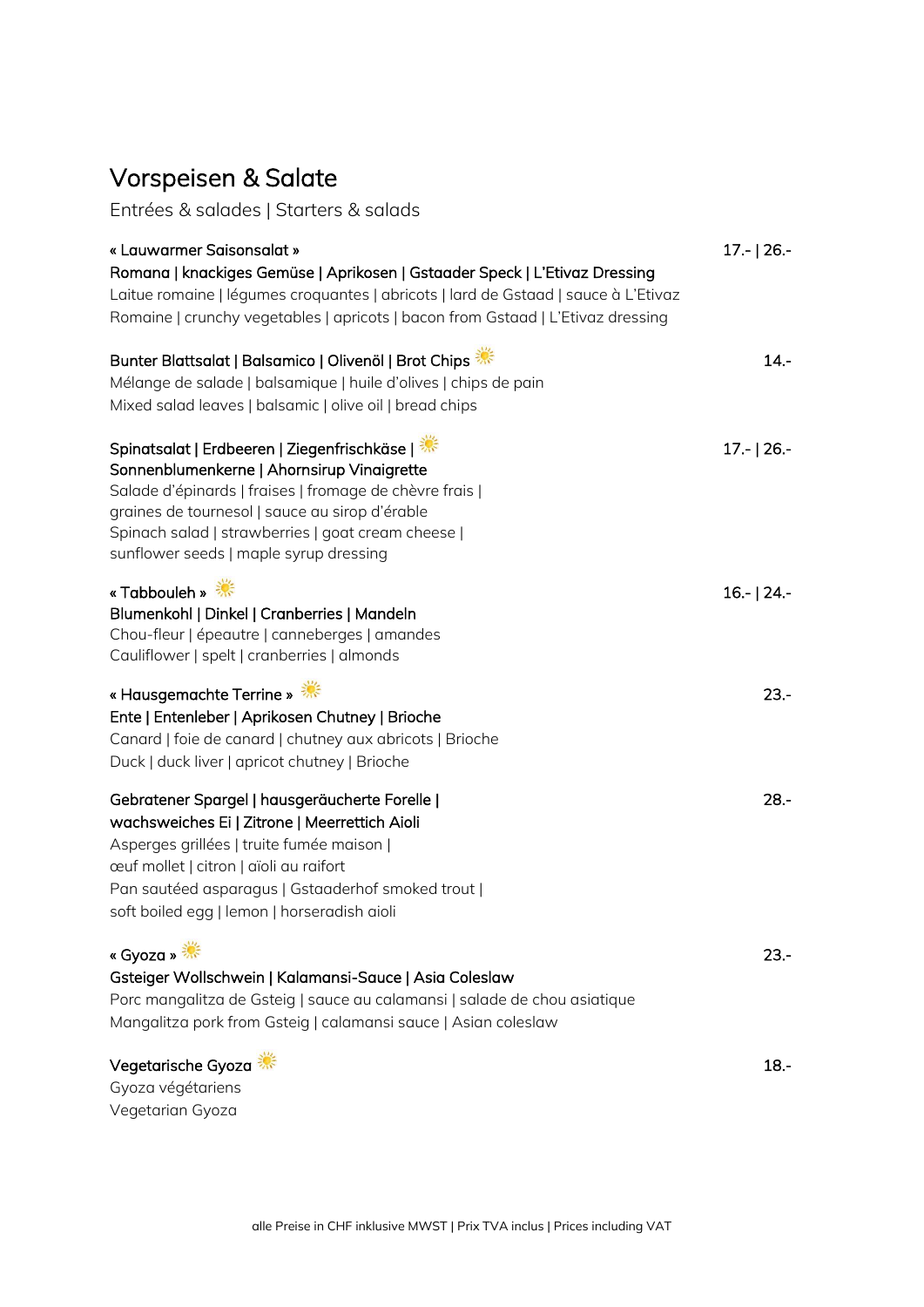# Vorspeisen & Salate

Entrées & salades | Starters & salads

| « Lauwarmer Saisonsalat »                                                          | $17 - 26 -$  |
|------------------------------------------------------------------------------------|--------------|
| Romana   knackiges Gemüse   Aprikosen   Gstaader Speck   L'Etivaz Dressing         |              |
| Laitue romaine   légumes croquantes   abricots   lard de Gstaad   sauce à L'Etivaz |              |
| Romaine   crunchy vegetables   apricots   bacon from Gstaad   L'Etivaz dressing    |              |
| Bunter Blattsalat   Balsamico   Olivenöl   Brot Chips                              | $14 -$       |
| Mélange de salade   balsamique   huile d'olives   chips de pain                    |              |
| Mixed salad leaves   balsamic   olive oil   bread chips                            |              |
| Spinatsalat   Erdbeeren   Ziegenfrischkäse   **                                    | $17 - 126 -$ |
| Sonnenblumenkerne   Ahornsirup Vinaigrette                                         |              |
| Salade d'épinards   fraises   fromage de chèvre frais                              |              |
| graines de tournesol   sauce au sirop d'érable                                     |              |
| Spinach salad   strawberries   goat cream cheese                                   |              |
| sunflower seeds   maple syrup dressing                                             |              |
| «Tabbouleh »                                                                       | $16 - 24 -$  |
| Blumenkohl   Dinkel   Cranberries   Mandeln                                        |              |
| Chou-fleur   épeautre   canneberges   amandes                                      |              |
| Cauliflower   spelt   cranberries   almonds                                        |              |
| « Hausgemachte Terrine »                                                           | $23 -$       |
|                                                                                    |              |
| Ente   Entenleber   Aprikosen Chutney   Brioche                                    |              |
| Canard   foie de canard   chutney aux abricots   Brioche                           |              |
| Duck   duck liver   apricot chutney   Brioche                                      |              |
| Gebratener Spargel   hausgeräucherte Forelle                                       | $28 -$       |
| wachsweiches Ei   Zitrone   Meerrettich Aioli                                      |              |
| Asperges grillées   truite fumée maison                                            |              |
| ceuf mollet   citron   aïoli au raifort                                            |              |
| Pan sautéed asparagus   Gstaaderhof smoked trout                                   |              |
| soft boiled egg   lemon   horseradish aioli                                        |              |
| « Gyoza »                                                                          | $23 -$       |
| Gsteiger Wollschwein   Kalamansi-Sauce   Asia Coleslaw                             |              |
| Porc mangalitza de Gsteig   sauce au calamansi   salade de chou asiatique          |              |
| Mangalitza pork from Gsteig   calamansi sauce   Asian coleslaw                     |              |
|                                                                                    |              |
| Vegetarische Gyoza                                                                 | $18 -$       |
| Gyoza végétariens                                                                  |              |
| Vegetarian Gyoza                                                                   |              |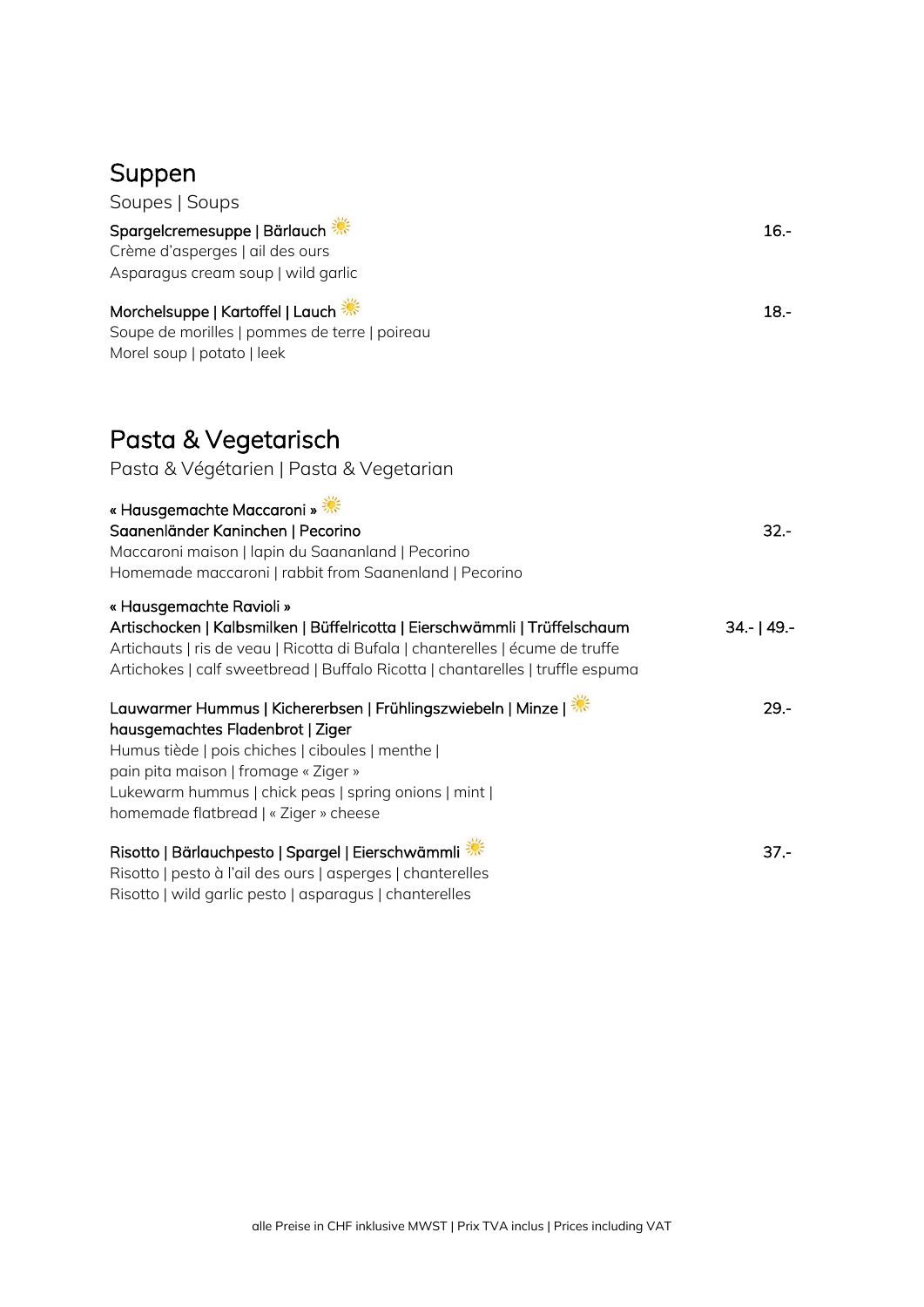## Suppen

| Soupes   Soups                                                                   |              |
|----------------------------------------------------------------------------------|--------------|
| Spargelcremesuppe   Bärlauch                                                     | $16 -$       |
| Crème d'asperges   ail des ours                                                  |              |
| Asparagus cream soup   wild garlic                                               |              |
| Morchelsuppe   Kartoffel   Lauch                                                 | $18 -$       |
| Soupe de morilles   pommes de terre   poireau                                    |              |
| Morel soup   potato   leek                                                       |              |
|                                                                                  |              |
| Pasta & Vegetarisch                                                              |              |
|                                                                                  |              |
| Pasta & Végétarien   Pasta & Vegetarian                                          |              |
| « Hausgemachte Maccaroni »                                                       |              |
| Saanenländer Kaninchen   Pecorino                                                | $32 -$       |
| Maccaroni maison   lapin du Saananland   Pecorino                                |              |
| Homemade maccaroni   rabbit from Saanenland   Pecorino                           |              |
| « Hausgemachte Ravioli »                                                         |              |
| Artischocken   Kalbsmilken   Büffelricotta   Eierschwämmli   Trüffelschaum       | $34 - 149 -$ |
| Artichauts   ris de veau   Ricotta di Bufala   chanterelles   écume de truffe    |              |
| Artichokes   calf sweetbread   Buffalo Ricotta   chantarelles   truffle espuma   |              |
| Lauwarmer Hummus   Kichererbsen   Frühlingszwiebeln   Minze   $\frac{300}{1000}$ | $29 -$       |
| hausgemachtes Fladenbrot   Ziger                                                 |              |
| Humus tiède   pois chiches   ciboules   menthe                                   |              |
| pain pita maison   fromage « Ziger »                                             |              |
| Lukewarm hummus   chick peas   spring onions   mint                              |              |
| homemade flatbread   « Ziger » cheese                                            |              |
| Risotto   Bärlauchpesto   Spargel   Eierschwämmli                                | $37 -$       |
| Risotto   pesto à l'ail des ours   asperges   chanterelles                       |              |
| Risotto   wild garlic pesto   asparagus   chanterelles                           |              |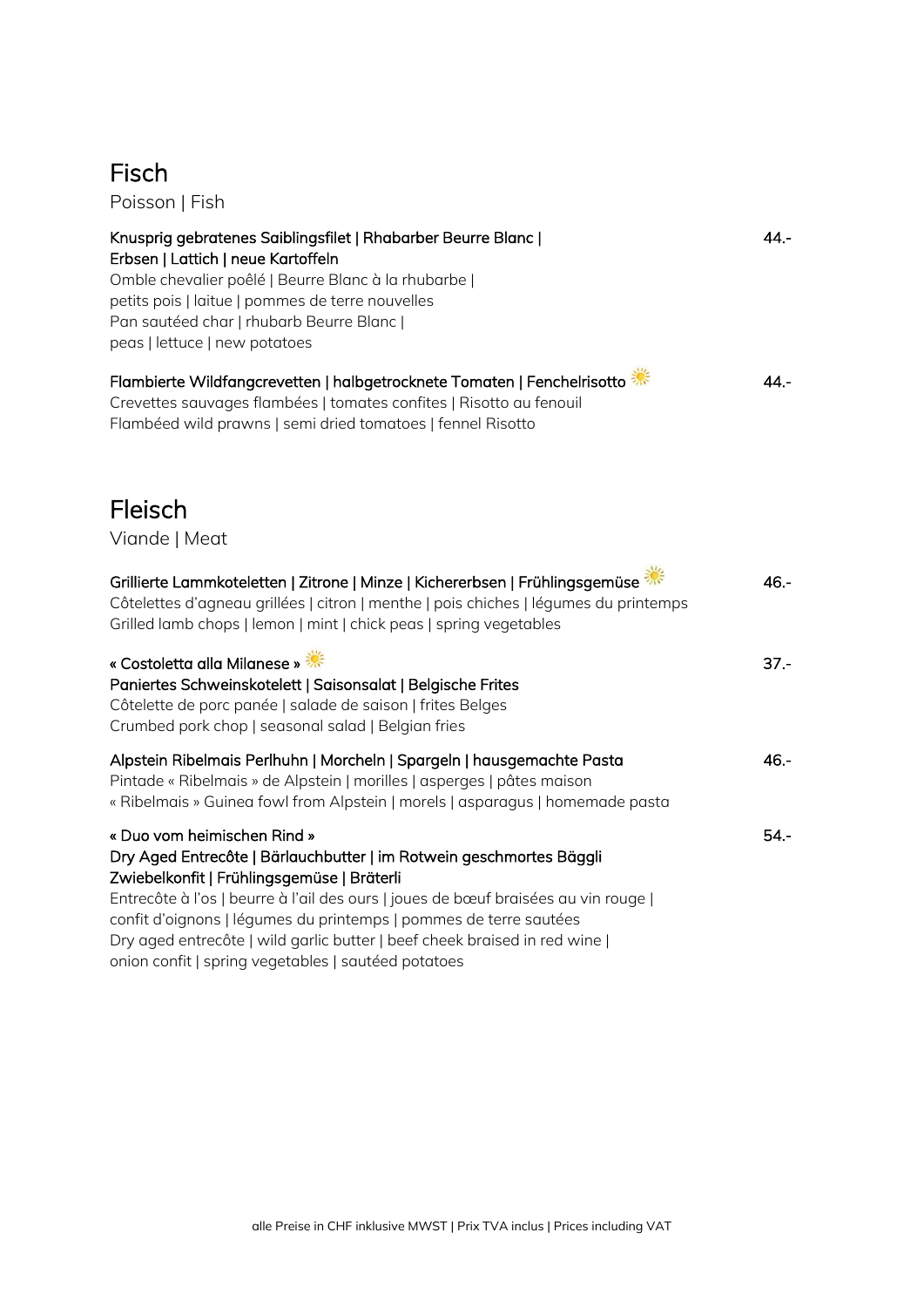# Fisch

Poisson | Fish

| Knusprig gebratenes Saiblingsfilet   Rhabarber Beurre Blanc  <br>Erbsen   Lattich   neue Kartoffeln                                                                                                           | $44 -$ |
|---------------------------------------------------------------------------------------------------------------------------------------------------------------------------------------------------------------|--------|
| Omble chevalier poêlé   Beurre Blanc à la rhubarbe  <br>petits pois   laitue   pommes de terre nouvelles                                                                                                      |        |
| Pan sautéed char   rhubarb Beurre Blanc  <br>peas   lettuce   new potatoes                                                                                                                                    |        |
| Flambierte Wildfangcrevetten   halbgetrocknete Tomaten   Fenchelrisotto<br>Crevettes sauvages flambées   tomates confites   Risotto au fenouil<br>Flambéed wild prawns   semi dried tomatoes   fennel Risotto | 44 -   |

### Fleisch Viande | Meat

| Grillierte Lammkoteletten   Zitrone   Minze   Kichererbsen   Frühlingsgemüse<br>Côtelettes d'agneau grillées   citron   menthe   pois chiches   légumes du printemps<br>Grilled lamb chops   lemon   mint   chick peas   spring vegetables                                                                                                                                              | $46 -$ |
|-----------------------------------------------------------------------------------------------------------------------------------------------------------------------------------------------------------------------------------------------------------------------------------------------------------------------------------------------------------------------------------------|--------|
| « Costoletta alla Milanese »<br>Paniertes Schweinskotelett   Saisonsalat   Belgische Frites<br>Côtelette de porc panée   salade de saison   frites Belges<br>Crumbed pork chop   seasonal salad   Belgian fries                                                                                                                                                                         | $37 -$ |
| Alpstein Ribelmais Perlhuhn   Morcheln   Spargeln   hausgemachte Pasta<br>Pintade « Ribelmais » de Alpstein   morilles   asperges   pâtes maison<br>« Ribelmais » Guinea fowl from Alpstein   morels   asparagus   homemade pasta                                                                                                                                                       | 46.-   |
| « Duo vom heimischen Rind »<br>Dry Aged Entrecôte   Bärlauchbutter   im Rotwein geschmortes Bäggli<br>Zwiebelkonfit   Frühlingsgemüse   Bräterli<br>Entrecôte à l'os   beurre à l'ail des ours   joues de bœuf braisées au vin rouge  <br>confit d'oignons   légumes du printemps   pommes de terre sautées<br>Dry aged entrecôte   wild garlic butter   beef cheek braised in red wine | 54.-   |
| onion confit   spring vegetables   sautéed potatoes                                                                                                                                                                                                                                                                                                                                     |        |

alle Preise in CHF inklusive MWST | Prix TVA inclus | Prices including VAT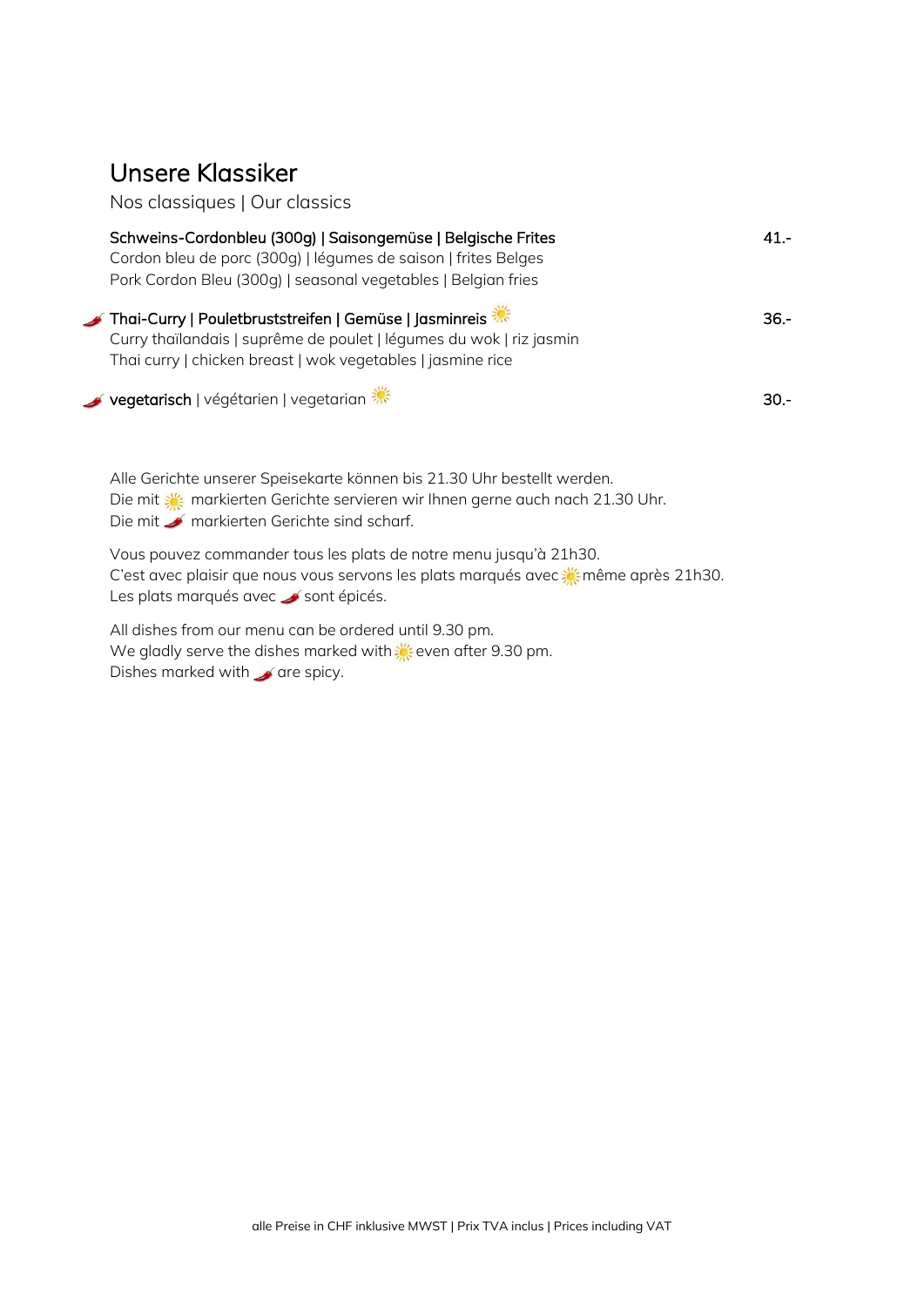## Unsere Klassiker

k

Nos classiques | Our classics

| Schweins-Cordonbleu (300g)   Saisongemüse   Belgische Frites<br>Cordon bleu de porc (300q)   léqumes de saison   frites Belges                                                               | $41 -$ |
|----------------------------------------------------------------------------------------------------------------------------------------------------------------------------------------------|--------|
| Pork Cordon Bleu (300g)   seasonal vegetables   Belgian fries                                                                                                                                |        |
| Thai-Curry   Pouletbruststreifen   Gemüse   Jasminreis<br>Curry thaïlandais   suprême de poulet   légumes du wok   riz jasmin<br>Thai curry   chicken breast   wok vegetables   jasmine rice | 36 -   |
| vegetarisch   végétarien   vegetarian ×                                                                                                                                                      | 30.-   |
|                                                                                                                                                                                              |        |

Alle Gerichte unserer Speisekarte können bis 21.30 Uhr bestellt werden. Die mit son markierten Gerichte servieren wir Ihnen gerne auch nach 21.30 Uhr. Die mit markierten Gerichte sind scharf.

Vous pouvez commander tous les plats de notre menu jusqu'à 21h30. C'est avec plaisir que nous vous servons les plats marqués avec set même après 21h30. Les plats marqués avec sont épicés.

All dishes from our menu can be ordered until 9.30 pm. We gladly serve the dishes marked with  $\frac{1}{2}$  even after 9.30 pm. Dishes marked with  $\rightarrow$  are spicy.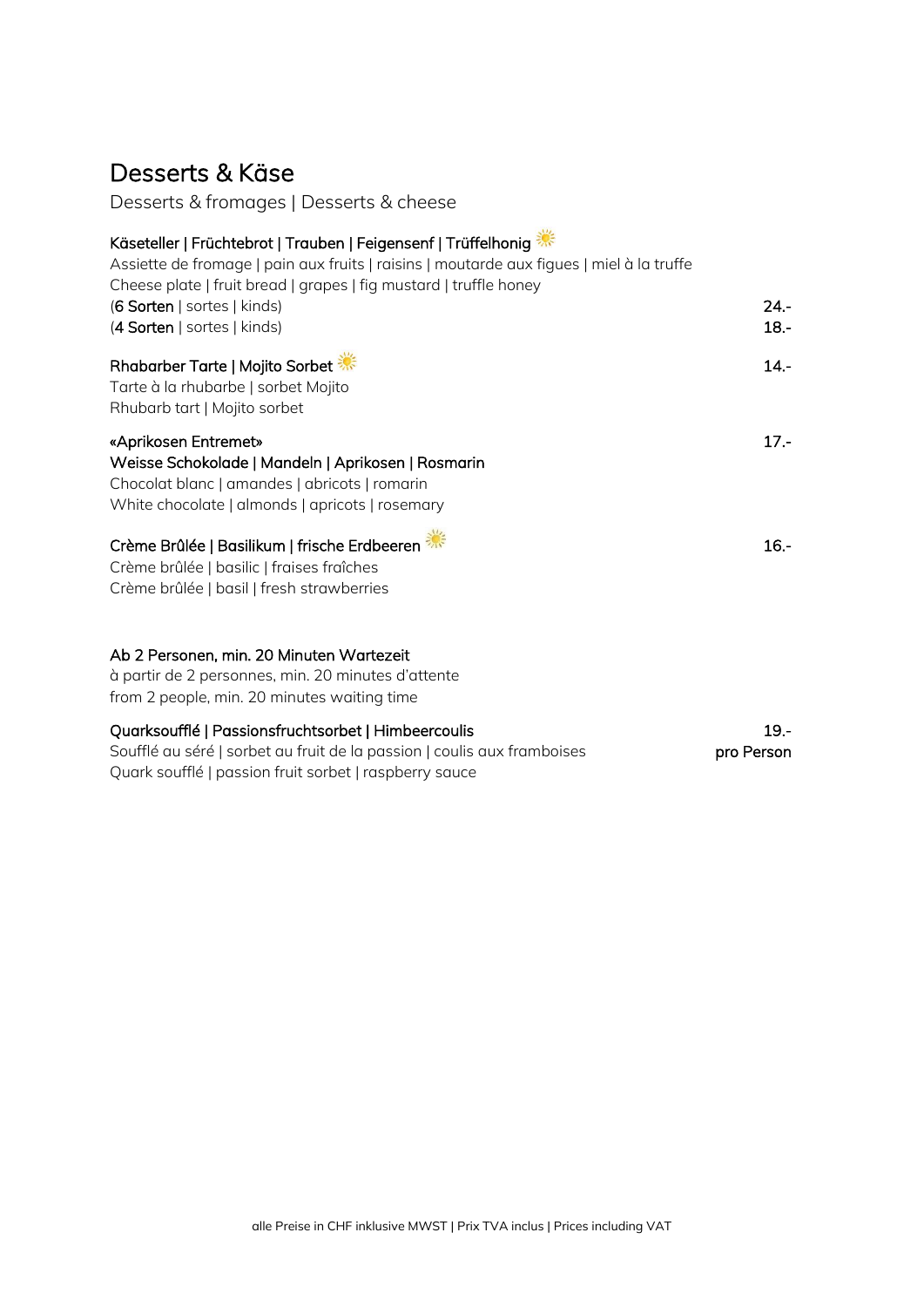# Desserts & Käse

Desserts & fromages | Desserts & cheese

| Käseteller   Früchtebrot   Trauben   Feigensenf   Trüffelhonig<br>Assiette de fromage   pain aux fruits   raisins   moutarde aux figues   miel à la truffe<br>Cheese plate   fruit bread   grapes   fig mustard   truffle honey |                      |
|---------------------------------------------------------------------------------------------------------------------------------------------------------------------------------------------------------------------------------|----------------------|
| (6 Sorten   sortes   kinds)<br>(4 Sorten   sortes   kinds)                                                                                                                                                                      | $24 -$<br>$18. -$    |
| Rhabarber Tarte   Mojito Sorbet<br>Tarte à la rhubarbe   sorbet Mojito<br>Rhubarb tart   Mojito sorbet                                                                                                                          | $14 -$               |
| «Aprikosen Entremet»<br>Weisse Schokolade   Mandeln   Aprikosen   Rosmarin<br>Chocolat blanc   amandes   abricots   romarin<br>White chocolate   almonds   apricots   rosemary                                                  | $17 -$               |
| Crème Brûlée   Basilikum   frische Erdbeeren<br>Crème brûlée   basilic   fraises fraîches<br>Crème brûlée   basil   fresh strawberries                                                                                          | $16 -$               |
| Ab 2 Personen, min. 20 Minuten Wartezeit<br>à partir de 2 personnes, min. 20 minutes d'attente<br>from 2 people, min. 20 minutes waiting time                                                                                   |                      |
| Quarksoufflé   Passionsfruchtsorbet   Himbeercoulis<br>Soufflé au séré   sorbet au fruit de la passion   coulis aux framboises<br>Quark soufflé   passion fruit sorbet   raspberry sauce                                        | $19 -$<br>pro Person |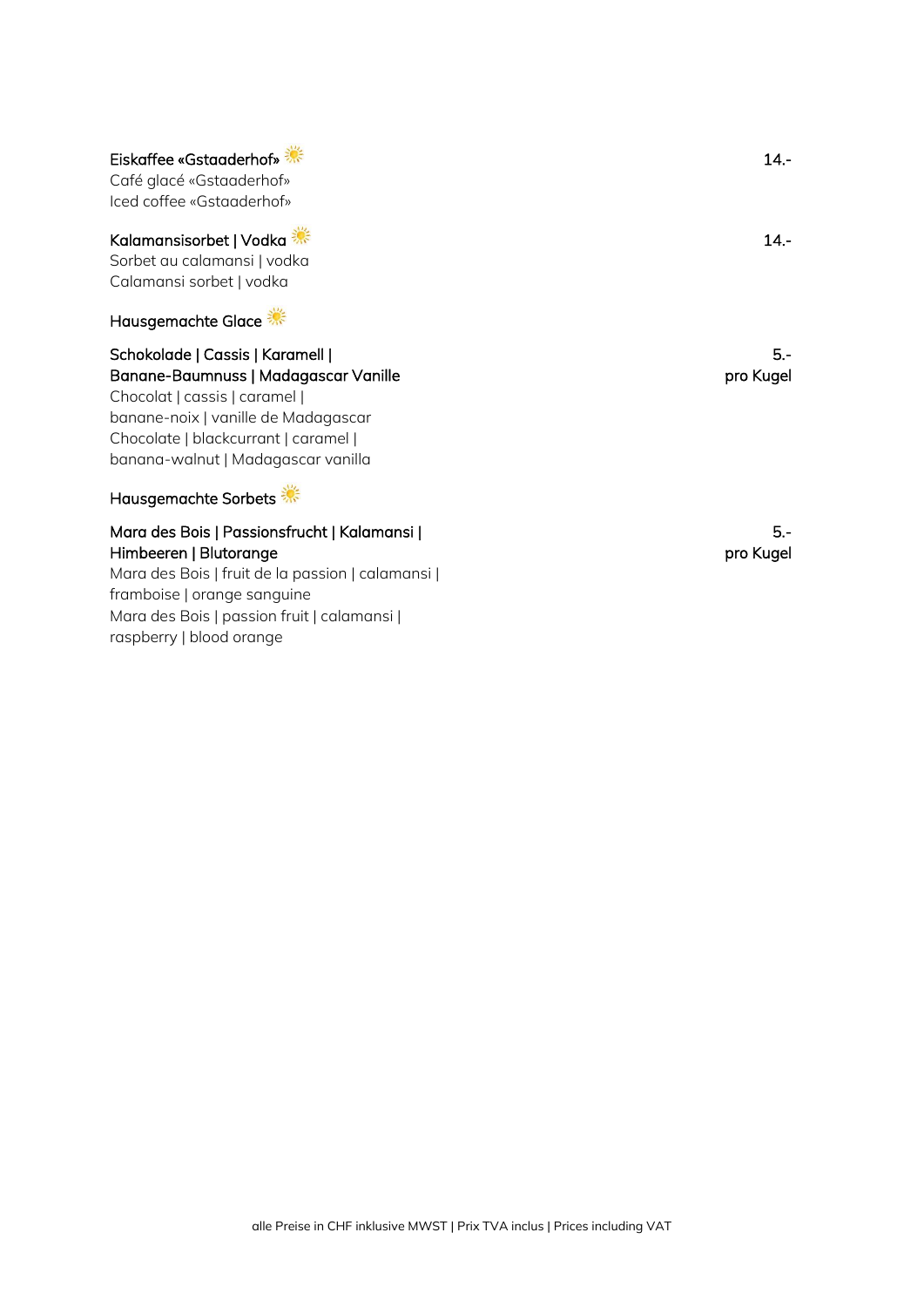

Café glacé «Gstaaderhof» Iced coffee «Gstaaderhof»

#### Kalamansisorbet | Vodka 14.- Sorbet au calamansi | vodka Calamansi sorbet | vodka

Hausgemachte Glace

#### Schokolade | Cassis | Karamell | 5.-

Banane-Baumnuss | Madagascar Vanille **pro Australia et al. 2018** pro Kugel Chocolat | cassis | caramel | banane-noix | vanille de Madagascar Chocolate | blackcurrant | caramel | banana-walnut | Madagascar vanilla

### Hausgemachte Sorbets

#### Mara des Bois | Passionsfrucht | Kalamansi | 5.- 1999 | 5.- 1999 | 5.- 1999 | 5.- 1999 | 5.- 1999 | 5.- 1999 | Himbeeren | Blutorange pro Kugel pro Kugel pro Kugel pro Kugel pro Kugel pro Kugel pro Kugel pro Kugel pro Kugel

Mara des Bois | fruit de la passion | calamansi | framboise | orange sanguine Mara des Bois | passion fruit | calamansi | raspberry | blood orange